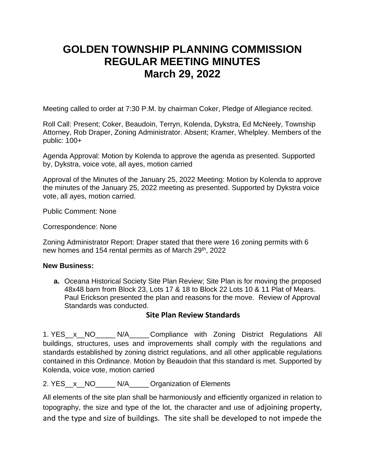# **GOLDEN TOWNSHIP PLANNING COMMISSION REGULAR MEETING MINUTES March 29, 2022**

Meeting called to order at 7:30 P.M. by chairman Coker, Pledge of Allegiance recited.

Roll Call: Present; Coker, Beaudoin, Terryn, Kolenda, Dykstra, Ed McNeely, Township Attorney, Rob Draper, Zoning Administrator. Absent; Kramer, Whelpley. Members of the public: 100+

Agenda Approval: Motion by Kolenda to approve the agenda as presented. Supported by, Dykstra, voice vote, all ayes, motion carried

Approval of the Minutes of the January 25, 2022 Meeting: Motion by Kolenda to approve the minutes of the January 25, 2022 meeting as presented. Supported by Dykstra voice vote, all ayes, motion carried.

Public Comment: None

Correspondence: None

Zoning Administrator Report: Draper stated that there were 16 zoning permits with 6 new homes and 154 rental permits as of March 29<sup>th</sup>, 2022

#### **New Business:**

**a.** Oceana Historical Society Site Plan Review; Site Plan is for moving the proposed 48x48 barn from Block 23, Lots 17 & 18 to Block 22 Lots 10 & 11 Plat of Mears. Paul Erickson presented the plan and reasons for the move. Review of Approval Standards was conducted.

## **Site Plan Review Standards**

1. YES x NO N/A Compliance with Zoning District Regulations All buildings, structures, uses and improvements shall comply with the regulations and standards established by zoning district regulations, and all other applicable regulations contained in this Ordinance. Motion by Beaudoin that this standard is met. Supported by Kolenda, voice vote, motion carried

2. YES x NO N/A Organization of Elements

All elements of the site plan shall be harmoniously and efficiently organized in relation to topography, the size and type of the lot, the character and use of adjoining property, and the type and size of buildings. The site shall be developed to not impede the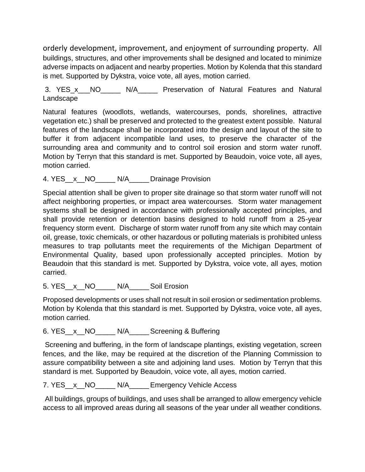orderly development, improvement, and enjoyment of surrounding property. All buildings, structures, and other improvements shall be designed and located to minimize adverse impacts on adjacent and nearby properties. Motion by Kolenda that this standard is met. Supported by Dykstra, voice vote, all ayes, motion carried.

3. YES\_x\_\_\_NO\_\_\_\_\_ N/A\_\_\_\_\_ Preservation of Natural Features and Natural Landscape

Natural features (woodlots, wetlands, watercourses, ponds, shorelines, attractive vegetation etc.) shall be preserved and protected to the greatest extent possible. Natural features of the landscape shall be incorporated into the design and layout of the site to buffer it from adjacent incompatible land uses, to preserve the character of the surrounding area and community and to control soil erosion and storm water runoff. Motion by Terryn that this standard is met. Supported by Beaudoin, voice vote, all ayes, motion carried.

## 4. YES\_\_x\_\_NO\_\_\_\_\_ N/A\_\_\_\_\_ Drainage Provision

Special attention shall be given to proper site drainage so that storm water runoff will not affect neighboring properties, or impact area watercourses. Storm water management systems shall be designed in accordance with professionally accepted principles, and shall provide retention or detention basins designed to hold runoff from a 25-year frequency storm event. Discharge of storm water runoff from any site which may contain oil, grease, toxic chemicals, or other hazardous or polluting materials is prohibited unless measures to trap pollutants meet the requirements of the Michigan Department of Environmental Quality, based upon professionally accepted principles. Motion by Beaudoin that this standard is met. Supported by Dykstra, voice vote, all ayes, motion carried.

5. YES\_\_x\_\_NO\_\_\_\_\_\_ N/A\_\_\_\_\_\_ Soil Erosion

Proposed developments or uses shall not result in soil erosion or sedimentation problems. Motion by Kolenda that this standard is met. Supported by Dykstra, voice vote, all ayes, motion carried.

6. YES\_\_x\_\_NO\_\_\_\_\_ N/A\_\_\_\_\_Screening & Buffering

Screening and buffering, in the form of landscape plantings, existing vegetation, screen fences, and the like, may be required at the discretion of the Planning Commission to assure compatibility between a site and adjoining land uses. Motion by Terryn that this standard is met. Supported by Beaudoin, voice vote, all ayes, motion carried.

7. YES\_\_x\_\_NO\_\_\_\_\_ N/A\_\_\_\_\_Emergency Vehicle Access

All buildings, groups of buildings, and uses shall be arranged to allow emergency vehicle access to all improved areas during all seasons of the year under all weather conditions.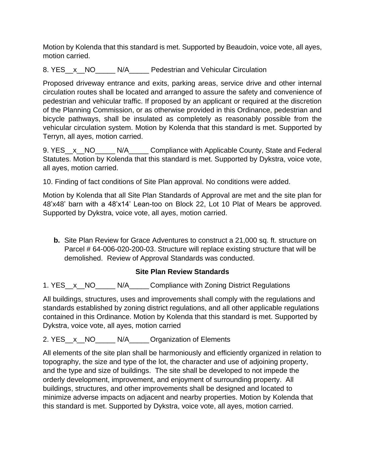Motion by Kolenda that this standard is met. Supported by Beaudoin, voice vote, all ayes, motion carried.

8. YES x NO N/A Pedestrian and Vehicular Circulation

Proposed driveway entrance and exits, parking areas, service drive and other internal circulation routes shall be located and arranged to assure the safety and convenience of pedestrian and vehicular traffic. If proposed by an applicant or required at the discretion of the Planning Commission, or as otherwise provided in this Ordinance, pedestrian and bicycle pathways, shall be insulated as completely as reasonably possible from the vehicular circulation system. Motion by Kolenda that this standard is met. Supported by Terryn, all ayes, motion carried.

9. YES\_\_x\_\_NO\_\_\_\_\_ N/A\_\_\_\_\_ Compliance with Applicable County, State and Federal Statutes. Motion by Kolenda that this standard is met. Supported by Dykstra, voice vote, all ayes, motion carried.

10. Finding of fact conditions of Site Plan approval. No conditions were added.

Motion by Kolenda that all Site Plan Standards of Approval are met and the site plan for 48'x48' barn with a 48'x14' Lean-too on Block 22, Lot 10 Plat of Mears be approved. Supported by Dykstra, voice vote, all ayes, motion carried.

**b.** Site Plan Review for Grace Adventures to construct a 21,000 sq. ft. structure on Parcel # 64-006-020-200-03. Structure will replace existing structure that will be demolished. Review of Approval Standards was conducted.

## **Site Plan Review Standards**

1. YES x NO N/A Compliance with Zoning District Regulations

All buildings, structures, uses and improvements shall comply with the regulations and standards established by zoning district regulations, and all other applicable regulations contained in this Ordinance. Motion by Kolenda that this standard is met. Supported by Dykstra, voice vote, all ayes, motion carried

2. YES\_\_x\_\_NO\_\_\_\_\_\_ N/A\_\_\_\_\_Organization of Elements

All elements of the site plan shall be harmoniously and efficiently organized in relation to topography, the size and type of the lot, the character and use of adjoining property, and the type and size of buildings. The site shall be developed to not impede the orderly development, improvement, and enjoyment of surrounding property. All buildings, structures, and other improvements shall be designed and located to minimize adverse impacts on adjacent and nearby properties. Motion by Kolenda that this standard is met. Supported by Dykstra, voice vote, all ayes, motion carried.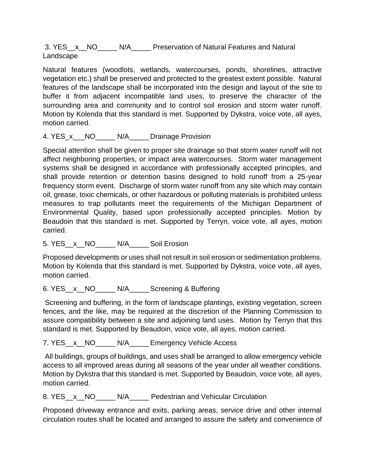3. YES x NO N/A Preservation of Natural Features and Natural Landscape

Natural features (woodlots, wetlands, watercourses, ponds, shorelines, attractive vegetation etc.) shall be preserved and protected to the greatest extent possible. Natural features of the landscape shall be incorporated into the design and layout of the site to buffer it from adjacent incompatible land uses, to preserve the character of the surrounding area and community and to control soil erosion and storm water runoff. Motion by Kolenda that this standard is met. Supported by Dykstra, voice vote, all ayes, motion carried.

#### 4. YES x NO N/A Drainage Provision

Special attention shall be given to proper site drainage so that storm water runoff will not affect neighboring properties, or impact area watercourses. Storm water management systems shall be designed in accordance with professionally accepted principles, and shall provide retention or detention basins designed to hold runoff from a 25-year frequency storm event. Discharge of storm water runoff from any site which may contain oil, grease, toxic chemicals, or other hazardous or polluting materials is prohibited unless measures to trap pollutants meet the requirements of the Michigan Department of Environmental Quality, based upon professionally accepted principles. Motion by Beaudoin that this standard is met. Supported by Terryn, voice vote, all ayes, motion carried.

5. YES x NO N/A Soil Erosion

Proposed developments or uses shall not result in soil erosion or sedimentation problems. Motion by Kolenda that this standard is met. Supported by Dykstra, voice vote, all ayes, motion carried.

6. YES\_\_x\_\_NO\_\_\_\_\_ N/A\_\_\_\_\_Screening & Buffering

Screening and buffering, in the form of landscape plantings, existing vegetation, screen fences, and the like, may be required at the discretion of the Planning Commission to assure compatibility between a site and adjoining land uses. Motion by Terryn that this standard is met. Supported by Beaudoin, voice vote, all ayes, motion carried.

7. YES\_\_x\_\_NO\_\_\_\_\_\_ N/A\_\_\_\_\_Emergency Vehicle Access

All buildings, groups of buildings, and uses shall be arranged to allow emergency vehicle access to all improved areas during all seasons of the year under all weather conditions. Motion by Dykstra that this standard is met. Supported by Beaudoin, voice vote, all ayes, motion carried.

8. YES x NO N/A Pedestrian and Vehicular Circulation

Proposed driveway entrance and exits, parking areas, service drive and other internal circulation routes shall be located and arranged to assure the safety and convenience of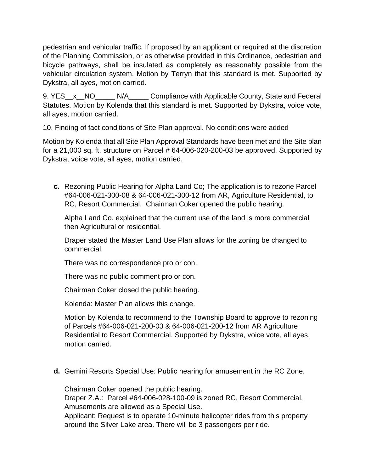pedestrian and vehicular traffic. If proposed by an applicant or required at the discretion of the Planning Commission, or as otherwise provided in this Ordinance, pedestrian and bicycle pathways, shall be insulated as completely as reasonably possible from the vehicular circulation system. Motion by Terryn that this standard is met. Supported by Dykstra, all ayes, motion carried.

9. YES\_\_x\_\_NO\_\_\_\_\_ N/A\_\_\_\_\_ Compliance with Applicable County, State and Federal Statutes. Motion by Kolenda that this standard is met. Supported by Dykstra, voice vote, all ayes, motion carried.

10. Finding of fact conditions of Site Plan approval. No conditions were added

Motion by Kolenda that all Site Plan Approval Standards have been met and the Site plan for a 21,000 sq. ft. structure on Parcel # 64-006-020-200-03 be approved. Supported by Dykstra, voice vote, all ayes, motion carried.

**c.** Rezoning Public Hearing for Alpha Land Co; The application is to rezone Parcel #64-006-021-300-08 & 64-006-021-300-12 from AR, Agriculture Residential, to RC, Resort Commercial. Chairman Coker opened the public hearing.

Alpha Land Co. explained that the current use of the land is more commercial then Agricultural or residential.

Draper stated the Master Land Use Plan allows for the zoning be changed to commercial.

There was no correspondence pro or con.

There was no public comment pro or con.

Chairman Coker closed the public hearing.

Kolenda: Master Plan allows this change.

Motion by Kolenda to recommend to the Township Board to approve to rezoning of Parcels #64-006-021-200-03 & 64-006-021-200-12 from AR Agriculture Residential to Resort Commercial. Supported by Dykstra, voice vote, all ayes, motion carried.

**d.** Gemini Resorts Special Use: Public hearing for amusement in the RC Zone.

Chairman Coker opened the public hearing.

Draper Z.A.: Parcel #64-006-028-100-09 is zoned RC, Resort Commercial, Amusements are allowed as a Special Use.

Applicant: Request is to operate 10-minute helicopter rides from this property around the Silver Lake area. There will be 3 passengers per ride.